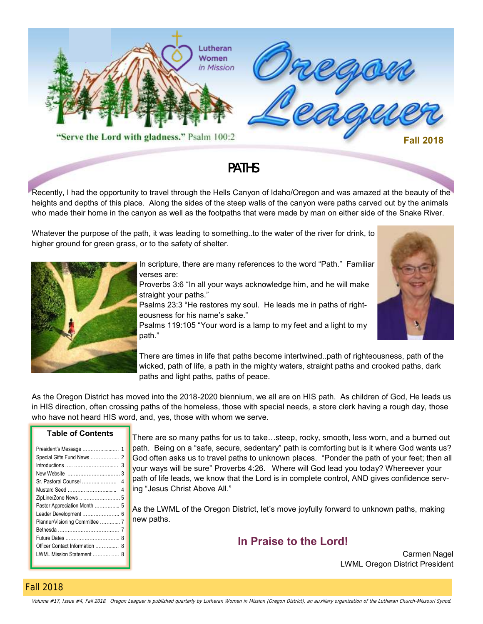

## PATHS

Recently, I had the opportunity to travel through the Hells Canyon of Idaho/Oregon and was amazed at the beauty of the heights and depths of this place. Along the sides of the steep walls of the canyon were paths carved out by the animals who made their home in the canyon as well as the footpaths that were made by man on either side of the Snake River.

Whatever the purpose of the path, it was leading to something..to the water of the river for drink, to higher ground for green grass, or to the safety of shelter.



In scripture, there are many references to the word "Path." Familiar verses are:

Proverbs 3:6 "In all your ways acknowledge him, and he will make straight your paths."

Psalms 23:3 "He restores my soul. He leads me in paths of righteousness for his name's sake."

Psalms 119:105 "Your word is a lamp to my feet and a light to my path."

There are times in life that paths become intertwined..path of righteousness, path of the wicked, path of life, a path in the mighty waters, straight paths and crooked paths, dark paths and light paths, paths of peace.

As the Oregon District has moved into the 2018-2020 biennium, we all are on HIS path. As children of God, He leads us in HIS direction, often crossing paths of the homeless, those with special needs, a store clerk having a rough day, those who have not heard HIS word, and, yes, those with whom we serve.

#### **Table of Contents**

|                                | 3 |
|--------------------------------|---|
| New Website                    | 3 |
| Sr. Pastoral Counsel   4       |   |
|                                |   |
| ZipLine/Zone News   5          |   |
| Pastor Appreciation Month  5   |   |
|                                |   |
| Planner/Visioning Committee  7 |   |
|                                |   |
|                                |   |
|                                |   |
| LWML Mission Statement  8      |   |
|                                |   |

There are so many paths for us to take…steep, rocky, smooth, less worn, and a burned out path. Being on a "safe, secure, sedentary" path is comforting but is it where God wants us? God often asks us to travel paths to unknown places. "Ponder the path of your feet; then all your ways will be sure" Proverbs 4:26. Where will God lead you today? Whereever your path of life leads, we know that the Lord is in complete control, AND gives confidence serving "Jesus Christ Above All."

As the LWML of the Oregon District, let's move joyfully forward to unknown paths, making new paths.

**In Praise to the Lord!**

Carmen Nagel LWML Oregon District President

#### Fall 2018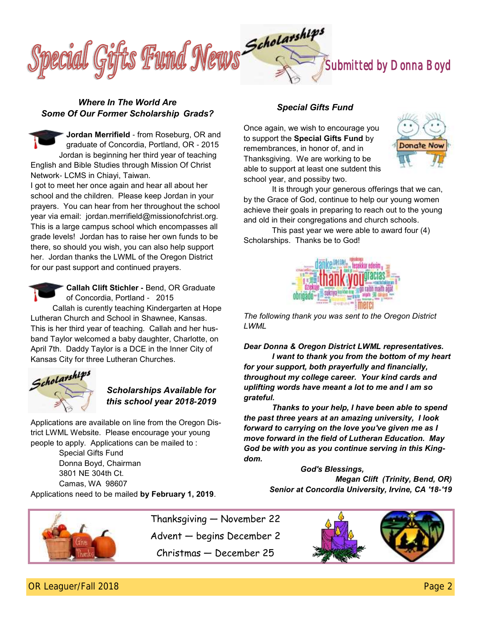

#### *Where In The World Are Some Of Our Former Scholarship Grads?*

**Jordan Merrifield** - from Roseburg, OR and graduate of Concordia, Portland, OR - 2015 Jordan is beginning her third year of teaching English and Bible Studies through Mission Of Christ Network- LCMS in Chiayi, Taiwan.

I got to meet her once again and hear all about her school and the children. Please keep Jordan in your prayers. You can hear from her throughout the school year via email: jordan.merrifield@missionofchrist.org. This is a large campus school which encompasses all grade levels! Jordan has to raise her own funds to be there, so should you wish, you can also help support her. Jordan thanks the LWML of the Oregon District for our past support and continued prayers.



**Callah Clift Stichler -** Bend, OR Graduate of Concordia, Portland - 2015

 Callah is curently teaching Kindergarten at Hope Lutheran Church and School in Shawnee, Kansas. This is her third year of teaching. Callah and her husband Taylor welcomed a baby daughter, Charlotte, on April 7th. Daddy Taylor is a DCE in the Inner City of Kansas City for three Lutheran Churches.



## *Scholarships Available for this school year 2018-2019*

Applications are available on line from the Oregon District LWML Website. Please encourage your young people to apply. Applications can be mailed to :

> Special Gifts Fund Donna Boyd, Chairman 3801 NE 304th Ct. Camas, WA 98607

Applications need to be mailed **by February 1, 2019**.

### *Special Gifts Fund*

Once again, we wish to encourage you to support the **Special Gifts Fund** by remembrances, in honor of, and in Thanksgiving. We are working to be able to support at least one sutdent this school year, and possiby two.



It is through your generous offerings that we can, by the Grace of God, continue to help our young women achieve their goals in preparing to reach out to the young and old in their congregations and church schools.

This past year we were able to award four (4) Scholarships. Thanks be to God!



*The following thank you was sent to the Oregon District LWML*

*Dear Donna & Oregon District LWML representatives. I want to thank you from the bottom of my heart for your support, both prayerfully and financially, throughout my college career. Your kind cards and uplifting words have meant a lot to me and I am so grateful.*

*Thanks to your help, I have been able to spend the past three years at an amazing university, I look forward to carrying on the love you've given me as I move forward in the field of Lutheran Education. May God be with you as you continue serving in this Kingdom.*

> *God's Blessings, Megan Clift (Trinity, Bend, OR) Senior at Concordia University, Irvine, CA '18-'19*



Thanksgiving — November 22 Advent — begins December 2 Christmas — December 25

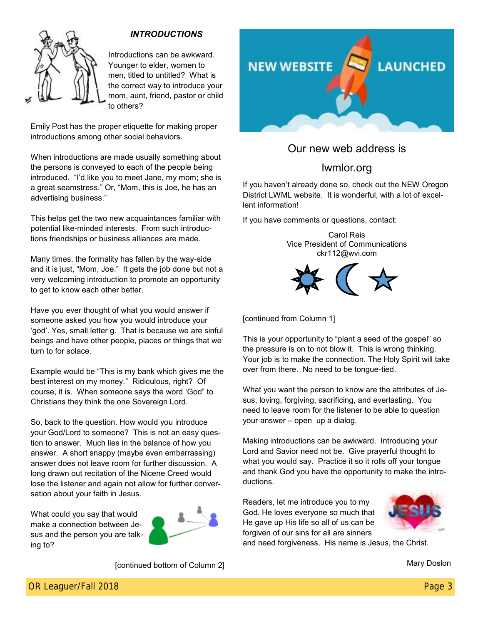

Introductions can be awkward. Younger to elder, women to men, titled to untitled? What is the correct way to introduce your mom, aunt, friend, pastor or child to others?

Emily Post has the proper etiquette for making proper introductions among other social behaviors.

When introductions are made usually something about the persons is conveyed to each of the people being introduced. "I'd like you to meet Jane, my mom; she is a great seamstress." Or, "Mom, this is Joe, he has an advertising business."

This helps get the two new acquaintances familiar with potential like-minded interests. From such introductions friendships or business alliances are made.

Many times, the formality has fallen by the way-side and it is just, "Mom, Joe." It gets the job done but not a very welcoming introduction to promote an opportunity to get to know each other better.

Have you ever thought of what you would answer if someone asked you how you would introduce your 'god'. Yes, small letter g. That is because we are sinful beings and have other people, places or things that we turn to for solace.

Example would be "This is my bank which gives me the best interest on my money." Ridiculous, right? Of course, it is. When someone says the word 'God" to Christians they think the one Sovereign Lord.

So, back to the question. How would you introduce your God/Lord to someone? This is not an easy question to answer. Much lies in the balance of how you answer. A short snappy (maybe even embarrassing) answer does not leave room for further discussion. A long drawn out recitation of the Nicene Creed would lose the listener and again not allow for further conversation about your faith in Jesus.

What could you say that would make a connection between Jesus and the person you are talking to?



[continued bottom of Column 2]



## Our new web address is

## lwmlor.org

If you haven't already done so, check out the NEW Oregon District LWML website. It is wonderful, with a lot of excellent information!

If you have comments or questions, contact:





[continued from Column 1]

This is your opportunity to "plant a seed of the gospel" so the pressure is on to not blow it. This is wrong thinking. Your job is to make the connection. The Holy Spirit will take over from there. No need to be tongue-tied.

What you want the person to know are the attributes of Jesus, loving, forgiving, sacrificing, and everlasting. You need to leave room for the listener to be able to question your answer – open up a dialog.

Making introductions can be awkward. Introducing your Lord and Savior need not be. Give prayerful thought to what you would say. Practice it so it rolls off your tongue and thank God you have the opportunity to make the introductions.

Readers, let me introduce you to my God. He loves everyone so much that He gave up His life so all of us can be forgiven of our sins for all are sinners



and need forgiveness. His name is Jesus, the Christ.

Mary Doslon

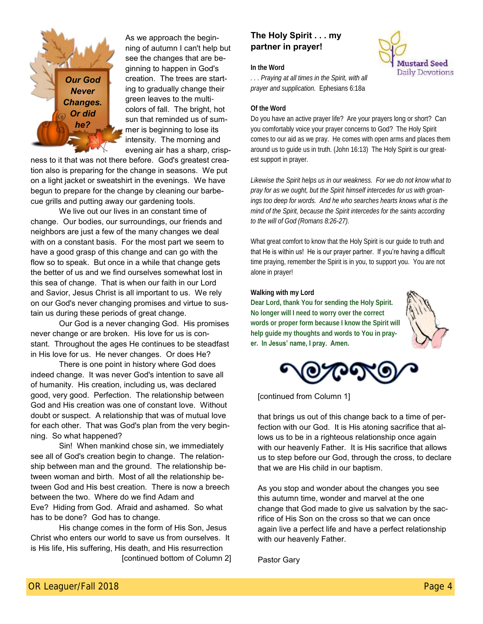

As we approach the beginning of autumn I can't help but see the changes that are beginning to happen in God's creation. The trees are starting to gradually change their green leaves to the multicolors of fall. The bright, hot sun that reminded us of summer is beginning to lose its intensity. The morning and evening air has a sharp, crisp-

ness to it that was not there before. God's greatest creation also is preparing for the change in seasons. We put on a light jacket or sweatshirt in the evenings. We have begun to prepare for the change by cleaning our barbecue grills and putting away our gardening tools.

We live out our lives in an constant time of change. Our bodies, our surroundings, our friends and neighbors are just a few of the many changes we deal with on a constant basis. For the most part we seem to have a good grasp of this change and can go with the flow so to speak. But once in a while that change gets the better of us and we find ourselves somewhat lost in this sea of change. That is when our faith in our Lord and Savior, Jesus Christ is all important to us. We rely on our God's never changing promises and virtue to sustain us during these periods of great change.

Our God is a never changing God. His promises never change or are broken. His love for us is constant. Throughout the ages He continues to be steadfast in His love for us. He never changes. Or does He?

There is one point in history where God does indeed change. It was never God's intention to save all of humanity. His creation, including us, was declared good, very good. Perfection. The relationship between God and His creation was one of constant love. Without doubt or suspect. A relationship that was of mutual love for each other. That was God's plan from the very beginning. So what happened?

Sin! When mankind chose sin, we immediately see all of God's creation begin to change. The relationship between man and the ground. The relationship between woman and birth. Most of all the relationship between God and His best creation. There is now a breech between the two. Where do we find Adam and Eve? Hiding from God. Afraid and ashamed. So what has to be done? God has to change.

His change comes in the form of His Son, Jesus Christ who enters our world to save us from ourselves. It is His life, His suffering, His death, and His resurrection [continued bottom of Column 2]

## **The Holy Spirit . . . my partner in prayer!**



**In the Word**

*. . . Praying at all times in the Spirit, with all prayer and supplication.* Ephesians 6:18a

#### **Of the Word**

Do you have an active prayer life? Are your prayers long or short? Can you comfortably voice your prayer concerns to God? The Holy Spirit comes to our aid as we pray. He comes with open arms and places them around us to guide us in truth. (John 16:13) The Holy Spirit is our greatest support in prayer.

*Likewise the Spirit helps us in our weakness. For we do not know what to pray for as we ought, but the Spirit himself intercedes for us with groanings too deep for words. And he who searches hearts knows what is the mind of the Spirit, because the Spirit intercedes for the saints according to the will of God (Romans 8:26-27).*

What great comfort to know that the Holy Spirit is our guide to truth and that He is within us! He is our prayer partner. If you're having a difficult time praying, remember the Spirit is in you, to support you. You are not alone in prayer!

**Walking with my Lord**

**Dear Lord, thank You for sending the Holy Spirit. No longer will I need to worry over the correct words or proper form because I know the Spirit will help guide my thoughts and words to You in prayer. In Jesus' name, I pray. Amen.**





[continued from Column 1]

that brings us out of this change back to a time of perfection with our God. It is His atoning sacrifice that allows us to be in a righteous relationship once again with our heavenly Father. It is His sacrifice that allows us to step before our God, through the cross, to declare that we are His child in our baptism.

As you stop and wonder about the changes you see this autumn time, wonder and marvel at the one change that God made to give us salvation by the sacrifice of His Son on the cross so that we can once again live a perfect life and have a perfect relationship with our heavenly Father.

Pastor Gary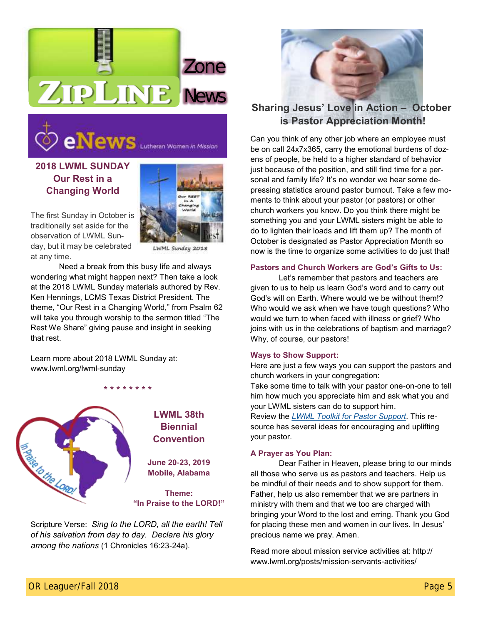



## **2018 LWML SUNDAY Our Rest in a Changing World**



The first Sunday in October is traditionally set aside for the observation of LWML Sunday, but it may be celebrated at any time.

LWML Sunday 2018

Need a break from this busy life and always wondering what might happen next? Then take a look at the 2018 LWML Sunday materials authored by Rev. Ken Hennings, LCMS Texas District President. The theme, "Our Rest in a Changing World," from Psalm 62 will take you through worship to the sermon titled "The Rest We Share" giving pause and insight in seeking that rest.

**\* \* \* \* \* \* \* \***

Learn more about 2018 LWML Sunday at: www.lwml.org/lwml-sunday



Scripture Verse: *Sing to the LORD, all the earth! Tell of his salvation from day to day. Declare his glory among the nations* (1 Chronicles 16:23-24a).



## **Sharing Jesus' Love in Action – October is Pastor Appreciation Month!**

Can you think of any other job where an employee must be on call 24x7x365, carry the emotional burdens of dozens of people, be held to a higher standard of behavior just because of the position, and still find time for a personal and family life? It's no wonder we hear some depressing statistics around pastor burnout. Take a few moments to think about your pastor (or pastors) or other church workers you know. Do you think there might be something you and your LWML sisters might be able to do to lighten their loads and lift them up? The month of October is designated as Pastor Appreciation Month so now is the time to organize some activities to do just that!

#### **Pastors and Church Workers are God's Gifts to Us:**

Let's remember that pastors and teachers are given to us to help us learn God's word and to carry out God's will on Earth. Where would we be without them!? Who would we ask when we have tough questions? Who would we turn to when faced with illness or grief? Who joins with us in the celebrations of baptism and marriage? Why, of course, our pastors!

#### **Ways to Show Support:**

Here are just a few ways you can support the pastors and church workers in your congregation:

Take some time to talk with your pastor one-on-one to tell him how much you appreciate him and ask what you and your LWML sisters can do to support him.

Review the *[LWML Toolkit for Pastor Support](http://www.lwml.org/posts/kit-ideas/pastor-support-and-involvement-ideas)*. This resource has several ideas for encouraging and uplifting your pastor.

#### **A Prayer as You Plan:**

Dear Father in Heaven, please bring to our minds all those who serve us as pastors and teachers. Help us be mindful of their needs and to show support for them. Father, help us also remember that we are partners in ministry with them and that we too are charged with bringing your Word to the lost and erring. Thank you God for placing these men and women in our lives. In Jesus' precious name we pray. Amen.

Read more about mission service activities at: http:// www.lwml.org/posts/mission-servants-activities/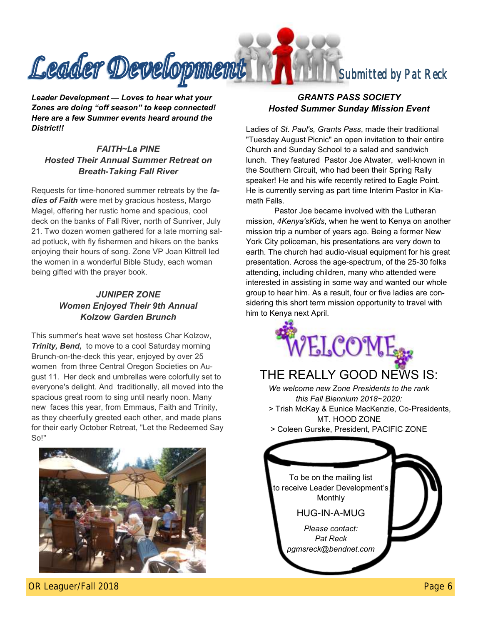

*Leader Development — Loves to hear what your Zones are doing "off season" to keep connected! Here are a few Summer events heard around the District!!*

## *FAITH~La PINE Hosted Their Annual Summer Retreat on Breath-Taking Fall River*

Requests for time-honored summer retreats by the *ladies of Faith* were met by gracious hostess, Margo Magel, offering her rustic home and spacious, cool deck on the banks of Fall River, north of Sunriver, July 21. Two dozen women gathered for a late morning salad potluck, with fly fishermen and hikers on the banks enjoying their hours of song. Zone VP Joan Kittrell led the women in a wonderful Bible Study, each woman being gifted with the prayer book.

## *JUNIPER ZONE Women Enjoyed Their 9th Annual Kolzow Garden Brunch*

This summer's heat wave set hostess Char Kolzow, **Trinity, Bend,** to move to a cool Saturday morning Brunch-on-the-deck this year, enjoyed by over 25 women from three Central Oregon Societies on August 11. Her deck and umbrellas were colorfully set to everyone's delight. And traditionally, all moved into the spacious great room to sing until nearly noon. Many new faces this year, from Emmaus, Faith and Trinity, as they cheerfully greeted each other, and made plans for their early October Retreat, "Let the Redeemed Say So!"



## *GRANTS PASS SOCIETY Hosted Summer Sunday Mission Event*

Ladies of *St. Paul's, Grants Pass*, made their traditional "Tuesday August Picnic" an open invitation to their entire Church and Sunday School to a salad and sandwich lunch. They featured Pastor Joe Atwater, well-known in the Southern Circuit, who had been their Spring Rally speaker! He and his wife recently retired to Eagle Point. He is currently serving as part time Interim Pastor in Klamath Falls.

Pastor Joe became involved with the Lutheran mission, *4Kenya'sKids*, when he went to Kenya on another mission trip a number of years ago. Being a former New York City policeman, his presentations are very down to earth. The church had audio-visual equipment for his great presentation. Across the age-spectrum, of the 25-30 folks attending, including children, many who attended were interested in assisting in some way and wanted our whole group to hear him. As a result, four or five ladies are considering this short term mission opportunity to travel with him to Kenya next April.



## THE REALLY GOOD NEWS IS: *We welcome new Zone Presidents to the rank this Fall Biennium 2018~2020:* > Trish McKay & Eunice MacKenzie, Co-Presidents, MT. HOOD ZONE > Coleen Gurske, President, PACIFIC ZONE To be on the mailing list to receive Leader Development's Monthly HUG-IN-A-MUG *Please contact: Pat Reck pgmsreck@bendnet.com*

OR Leaguer/Fall 2018 **Detail 2018** 2018 12:00 Page 6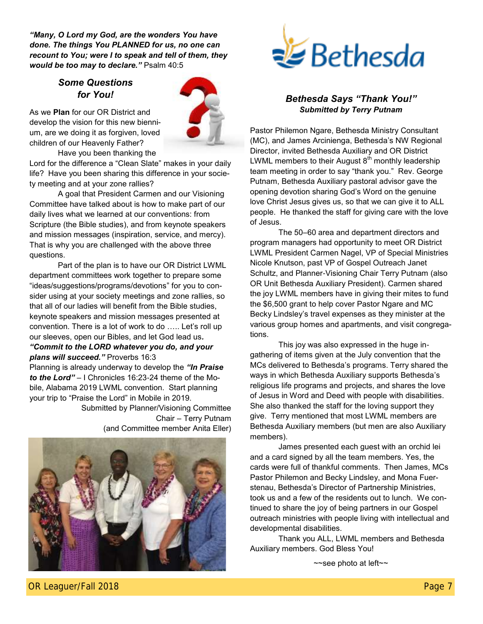*"Many, O Lord my God, are the wonders You have done. The things You PLANNED for us, no one can recount to You; were I to speak and tell of them, they would be too may to declare."* Psalm 40:5

## *Some Questions for You!*



As we **Plan** for our OR District and develop the vision for this new biennium, are we doing it as forgiven, loved children of our Heavenly Father?

Have you been thanking the

Lord for the difference a "Clean Slate" makes in your daily life? Have you been sharing this difference in your society meeting and at your zone rallies?

A goal that President Carmen and our Visioning Committee have talked about is how to make part of our daily lives what we learned at our conventions: from Scripture (the Bible studies), and from keynote speakers and mission messages (inspiration, service, and mercy). That is why you are challenged with the above three questions.

Part of the plan is to have our OR District LWML department committees work together to prepare some "ideas/suggestions/programs/devotions" for you to consider using at your society meetings and zone rallies, so that all of our ladies will benefit from the Bible studies, keynote speakers and mission messages presented at convention. There is a lot of work to do ….. Let's roll up our sleeves, open our Bibles, and let God lead us*.* 

#### *"Commit to the LORD whatever you do, and your plans will succeed."* Proverbs 16:3

Planning is already underway to develop the *"In Praise to the Lord"* – I Chronicles 16:23-24 theme of the Mobile, Alabama 2019 LWML convention. Start planning your trip to "Praise the Lord" in Mobile in 2019.

Submitted by Planner/Visioning Committee Chair – Terry Putnam (and Committee member Anita Eller)





#### *Bethesda Says "Thank You!" Submitted by Terry Putnam*

Pastor Philemon Ngare, Bethesda Ministry Consultant (MC), and James Arcinienga, Bethesda's NW Regional Director, invited Bethesda Auxiliary and OR District LWML members to their August  $8<sup>th</sup>$  monthly leadership team meeting in order to say "thank you." Rev. George Putnam, Bethesda Auxiliary pastoral advisor gave the opening devotion sharing God's Word on the genuine love Christ Jesus gives us, so that we can give it to ALL people. He thanked the staff for giving care with the love of Jesus.

The 50–60 area and department directors and program managers had opportunity to meet OR District LWML President Carmen Nagel, VP of Special Ministries Nicole Knutson, past VP of Gospel Outreach Janet Schultz, and Planner-Visioning Chair Terry Putnam (also OR Unit Bethesda Auxiliary President). Carmen shared the joy LWML members have in giving their mites to fund the \$6,500 grant to help cover Pastor Ngare and MC Becky Lindsley's travel expenses as they minister at the various group homes and apartments, and visit congregations.

This joy was also expressed in the huge ingathering of items given at the July convention that the MCs delivered to Bethesda's programs. Terry shared the ways in which Bethesda Auxiliary supports Bethesda's religious life programs and projects, and shares the love of Jesus in Word and Deed with people with disabilities. She also thanked the staff for the loving support they give. Terry mentioned that most LWML members are Bethesda Auxiliary members (but men are also Auxiliary members).

James presented each guest with an orchid lei and a card signed by all the team members. Yes, the cards were full of thankful comments. Then James, MCs Pastor Philemon and Becky Lindsley, and Mona Fuerstenau, Bethesda's Director of Partnership Ministries, took us and a few of the residents out to lunch. We continued to share the joy of being partners in our Gospel outreach ministries with people living with intellectual and developmental disabilities.

Thank you ALL, LWML members and Bethesda Auxiliary members. God Bless You!

~~see photo at left~~

OR Leaguer/Fall 2018 **Leaguer/Fall 2018 Research 2018 Research 2018 Research 2018 Research 2018 Research 2018**